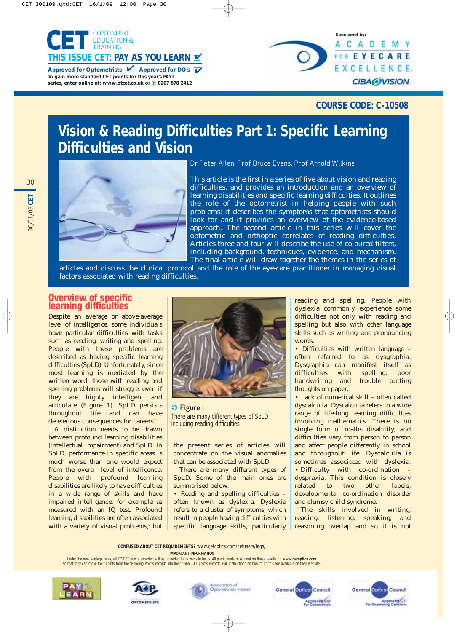



**COURSE CODE: C-10508**

# **Vision & Reading Difficulties Part 1: Specific Learning Difficulties and Vision**

Dr Peter Allen, Prof Bruce Evans, Prof Arnold Wilkins



This article is the first in a series of five about vision and reading difficulties, and provides an introduction and an overview of learning disabilities and specific learning difficulties. It outlines the role of the optometrist in helping people with such problems; it describes the symptoms that optometrists should look for and it provides an overview of the evidence-based approach. The second article in this series will cover the optometric and orthoptic correlates of reading difficulties. Articles three and four will describe the use of coloured filters, including background, techniques, evidence, and mechanism. The final article will draw together the themes in the series of

articles and discuss the clinical protocol and the role of the eye-care practitioner in managing visual factors associated with reading difficulties.

## **Overview of specific learning difficulties**

Despite an average or above-average level of intelligence, some individuals have particular difficulties with tasks such as reading, writing and spelling. People with these problems are described as having specific learning difficulties (SpLD). Unfortunately, since most learning is mediated by the written word, those with reading and spelling problems will struggle, even if they are highly intelligent and articulate (Figure 1). SpLD persists throughout life and can have deleterious consequences for careers.<sup>1</sup>

A distinction needs to be drawn between profound learning disabilities (intellectual impairment) and SpLD. In SpLD, performance in specific areas is much worse than one would expect from the overall level of intelligence. People with profound learning disabilities are likely to have difficulties in a wide range of skills and have impaired intelligence, for example as measured with an IQ test. Profound learning disabilities are often associated with a variety of visual problems,<sup>2</sup> but



 $\Rightarrow$  Figure 1 There are many different types of SpLD including reading difficulties

the present series of articles will concentrate on the visual anomalies that can be associated with SpLD.

There are many different types of SpLD. Some of the main ones are summarised below.

• Reading and spelling difficulties – often known as *dyslexia*. Dyslexia refers to a cluster of symptoms, which result in people having difficulties with specific language skills, particularly

reading and spelling. People with dyslexia commonly experience some difficulties not only with reading and spelling but also with other language skills such as writing, and pronouncing words.

• Difficulties with written language – often referred to as *dysgraphia*. Dysgraphia can manifest itself as difficulties with spelling, poor handwriting and trouble putting thoughts on paper.

• Lack of numerical skill – often called *dyscalculia*. Dyscalculia refers to a wide range of life-long learning difficulties involving mathematics. There is no single form of maths disability, and difficulties vary from person to person and affect people differently in school and throughout life. Dyscalculia is sometimes associated with dyslexia. • Difficulty with co-ordination – *dyspraxia*. This condition is closely related to two other labels, developmental co-ordination disorder and clumsy child syndrome.

The skills involved in writing, reading, listening, speaking, and reasoning overlap and so it is not

**CONFUSED ABOUT CET REQUIREMENTS?** www.cetoptics.com/cetusers/faqs/

**IMPORTANT INFORMATION**

Under the new Vantage rules, all OT CET points awarded will be uploaded to its website by us. All participants must confirm these results on **www.cetoptics.com** so that they can move their points from the "Pending Points record" into their "Final CET points record". Full instructions on how to do this are available or









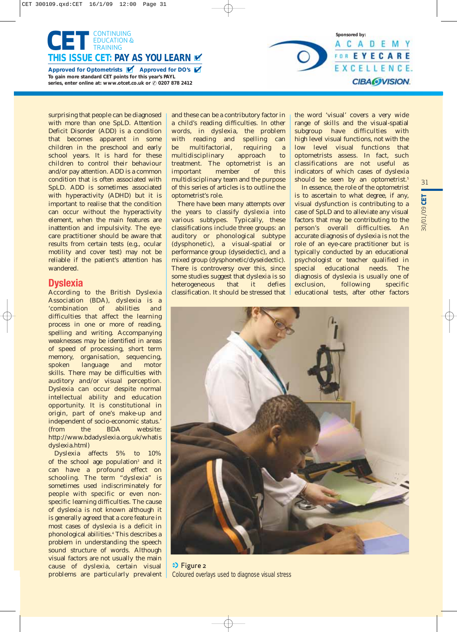

surprising that people can be diagnosed with more than one SpLD. Attention Deficit Disorder (ADD) is a condition that becomes apparent in some children in the preschool and early school years. It is hard for these children to control their behaviour and/or pay attention. ADD is a common condition that is often associated with SpLD. ADD is sometimes associated with hyperactivity (ADHD) but it is important to realise that the condition can occur without the hyperactivity element, when the main features are inattention and impulsivity. The eyecare practitioner should be aware that results from certain tests (e.g., ocular motility and cover test) may not be reliable if the patient's attention has wandered.

# **Dyslexia**

According to the British Dyslexia Association (BDA), dyslexia is a *'combination of abilities and difficulties that affect the learning process in one or more of reading, spelling and writing. Accompanying weaknesses may be identified in areas of speed of processing, short term memory, organisation, sequencing, spoken language and motor skills. There may be difficulties with auditory and/or visual perception. Dyslexia can occur despite normal intellectual ability and education opportunity. It is constitutional in origin, part of one's make-up and independent of socio-economic status.'*  (from the BDA website: http://www.bdadyslexia.org.uk/whatis dyslexia.html)

Dyslexia affects 5% to 10% of the school age population<sup>3</sup> and it can have a profound effect on schooling. The term "dyslexia" is sometimes used indiscriminately for people with specific or even nonspecific learning difficulties. The cause of dyslexia is not known although it is generally agreed that a core feature in most cases of dyslexia is a deficit in phonological abilities.4 This describes a problem in understanding the speech sound structure of words. Although visual factors are not usually the main cause of dyslexia, certain visual problems are particularly prevalent and these can be a contributory factor in a child's reading difficulties. In other words, in dyslexia, the problem with reading and spelling can be multifactorial, requiring a multidisciplinary approach to treatment. The optometrist is an important member of this multidisciplinary team and the purpose of this series of articles is to outline the optometrist's role.

There have been many attempts over the years to classify dyslexia into various subtypes. Typically, these classifications include three groups: an auditory or phonological subtype (dysphonetic), a visual-spatial or performance group (dyseidectic), and a mixed group (dysphonetic/dyseidectic). There is controversy over this, since some studies suggest that dyslexia is so heterogeneous that it defies classification. It should be stressed that the word 'visual' covers a very wide range of skills and the visual-spatial subgroup have difficulties with high level visual functions, not with the low level visual functions that optometrists assess. In fact, such classifications are not useful as indicators of which cases of dyslexia should be seen by an optometrist.<sup>5</sup>

**Sponsored by:**

**ACADEMY** FOR EYECARE EXCELLENCE.

**CIBA@VISION.** 

In essence, the role of the optometrist is to ascertain to what degree, if any, visual dysfunction is contributing to a case of SpLD and to alleviate any visual factors that may be contributing to the person's overall difficulties. An accurate diagnosis of dyslexia is not the role of an eye-care practitioner but is typically conducted by an educational psychologist or teacher qualified in special educational needs. The diagnosis of dyslexia is usually one of exclusion, following specific educational tests, after other factors



 $\div$  **Figure 2** Coloured overlays used to diagnose visual stress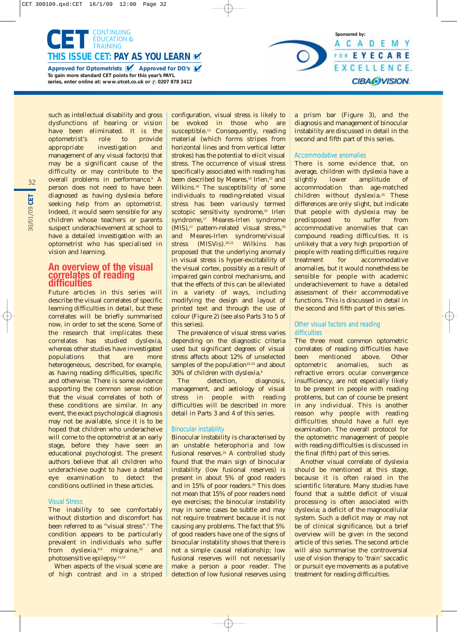



such as intellectual disability and gross dysfunctions of hearing or vision have been eliminated. It is the<br>optometrist's role to provide optometrist's role to appropriate investigation and management of any visual factor(s) that may be a significant cause of the difficulty or may contribute to the overall problems in performance.<sup>6</sup> A person does not need to have been diagnosed as having dyslexia before seeking help from an optometrist. Indeed, it would seem sensible for any children whose teachers or parents suspect underachievement at school to have a detailed investigation with an optometrist who has specialised in vision and learning.

### **An overview of the visual correlates of reading difficulties**

Future articles in this series will describe the visual correlates of specific learning difficulties in detail, but these correlates will be briefly summarised now, in order to set the scene. Some of the research that implicates these correlates has studied dyslexia, whereas other studies have investigated populations that are more heterogeneous, described, for example, as having reading difficulties, specific and otherwise. There is some evidence supporting the common sense notion that the visual correlates of both of these conditions are similar. In any event, the exact psychological diagnosis may not be available, since it is to be hoped that children who underacheive will come to the optometrist at an early stage, before they have seen an educational psychologist. The present authors believe that all children who underachieve ought to have a detailed eye examination to detect the conditions outlined in these articles.

#### Visual Stress

The inability to see comfortably without distortion and discomfort has been referred to as "visual stress".7 The condition appears to be particularly prevalent in individuals who suffer from dyslexia,<sup>8,9</sup> migraine,<sup>10</sup> and photosensitive epilepsy.11,12

When aspects of the visual scene are of high contrast and in a striped configuration, visual stress is likely to be evoked in those who are susceptible.<sup>13</sup> Consequently, reading material (which forms stripes from horizontal lines and from vertical letter strokes) has the potential to elicit visual stress. The occurrence of visual stress specifically associated with reading has been described by Meares,<sup>14</sup> Irlen,<sup>15</sup> and Wilkins.<sup>16</sup> The susceptibility of some individuals to reading-related visual stress has been variously termed scotopic sensitivity syndrome,<sup>15</sup> Irlen syndrome,<sup>17</sup> Meares-Irlen syndrome (MIS),<sup>17</sup> pattern-related visual stress,<sup>19</sup> and Meares-Irlen syndrome/visual stress (MISVis).<sup>20,21</sup> Wilkins has proposed that the underlying anomaly in visual stress is hyper-excitability of the visual cortex, possibly as a result of impaired gain control mechanisms, and that the effects of this can be alleviated in a variety of ways, including modifying the design and layout of printed text and through the use of colour (Figure 2) (see also Parts 3 to 5 of this series).

The prevalence of visual stress varies depending on the diagnostic criteria used but significant degrees of visual stress affects about 12% of unselected samples of the population<sup>22-24</sup> and about 30% of children with dyslexia.8

The detection, diagnosis, management, and aetiology of visual stress in people with reading difficulties will be described in more detail in Parts 3 and 4 of this series.

#### Binocular instability

Binocular instability is characterised by an unstable heterophoria and low fusional reserves.25 A controlled study found that the main sign of binocular instability (low fusional reserves) is present in about 5% of good readers and in 15% of poor readers.<sup>25</sup> This does not mean that 15% of poor readers need eye exercises; the binocular instability may in some cases be subtle and may not require treatment because it is not causing any problems. The fact that 5% of good readers have one of the signs of binocular instability shows that there is not a simple causal relationship; low fusional reserves will not necessarily make a person a poor reader. The detection of low fusional reserves using a prism bar (Figure 3), and the diagnosis and management of binocular instability are discussed in detail in the second and fifth part of this series.

#### Accommodative anomalies

There is some evidence that, on average, children with dyslexia have a slightly lower amplitude of accommodation than age-matched children without dyslexia.<sup>25</sup> These differences are only slight, but indicate that people with dyslexia may be predisposed to suffer from accommodative anomalies that can compound reading difficulties. It is unlikely that a very high proportion of people with reading difficulties require treatment for accommodative anomalies, but it would nonetheless be sensible for people with academic underachievement to have a detailed assessment of their accommodative functions. This is discussed in detail in the second and fifth part of this series.

#### Other visual factors and reading difficulties

The three most common optometric correlates of reading difficulties have been mentioned above. Other optometric anomalies, such as refractive errors ocular convergence insufficiency, are not especially likely to be present in people with reading problems, but can of course be present in any individual. This is another reason why people with reading difficulties should have a full eye examination. The overall protocol for the optometric management of people with reading difficulties is discussed in the final (fifth) part of this series.

Another visual correlate of dyslexia should be mentioned at this stage, because it is often raised in the scientific literature. Many studies have found that a subtle deficit of visual processing is often associated with dyslexia; a deficit of the magnocellular system. Such a deficit may or may not be of clinical significance, but a brief overview will be given in the second article of this series. The second article will also summarise the controversial use of vision therapy to 'train' saccadic or pursuit eye movements as a putative treatment for reading difficulties.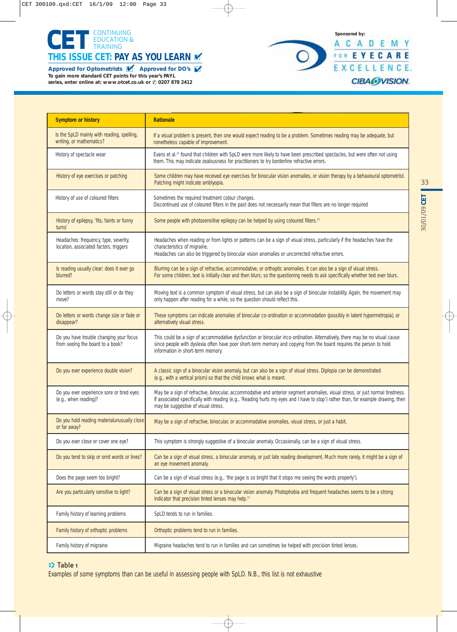

Approved for Optometrists **M** Approved for DO's Approved for Optometrists **★** Approved for DO's ★<br>To gain more standard CET points for this year's PAYL **series, enter online at: www.otcet.co.uk or** ✆ **0207 878 2412**



| <b>Symptom or history</b>                                                       | <b>Rationale</b>                                                                                                                                                                                                                                                                                           |
|---------------------------------------------------------------------------------|------------------------------------------------------------------------------------------------------------------------------------------------------------------------------------------------------------------------------------------------------------------------------------------------------------|
| Is the SpLD mainly with reading, spelling,<br>writing, or mathematics?          | If a visual problem is present, then one would expect reading to be a problem. Sometimes reading may be adequate, but<br>nonetheless capable of improvement.                                                                                                                                               |
| History of spectacle wear                                                       | Evans et al. <sup>25</sup> found that children with SpLD were more likely to have been prescribed spectacles, but were often not using<br>them. This may indicate zealousness for practitioners to try borderline refractive errors.                                                                       |
| History of eye exercises or patching                                            | Some children may have received eye exercises for binocular vision anomalies, or vision therapy by a behavioural optometrist.<br>Patching might indicate amblyopia.                                                                                                                                        |
| History of use of coloured filters                                              | Sometimes the required treatment colour changes.<br>Discontinued use of coloured filters in the past does not necessarily mean that filters are no longer required                                                                                                                                         |
| History of epilepsy, 'fits, faints or funny<br>turns'                           | Some people with photosensitive epilepsy can be helped by using coloured filters. <sup>13</sup>                                                                                                                                                                                                            |
| Headaches: frequency, type, severity,<br>location, associated factors, triggers | Headaches when reading or from lights or patterns can be a sign of visual stress, particularly if the headaches have the<br>characteristics of migraine.<br>Headaches can also be triggered by binocular vision anomalies or uncorrected refractive errors.                                                |
| Is reading usually clear; does it ever go<br>blurred?                           | Blurring can be a sign of refractive, accommodative, or orthoptic anomalies. It can also be a sign of visual stress.<br>For some children, text is initially clear and then blurs; so the questioning needs to ask specifically whether text ever blurs.                                                   |
| Do letters or words stay still or do they<br>move?                              | Moving text is a common symptom of visual stress, but can also be a sign of binocular instability. Again, the movement may<br>only happen after reading for a while, so the question should reflect this.                                                                                                  |
| Do letters or words change size or fade or<br>disappear?                        | These symptoms can indicate anomalies of binocular co-ordination or accommodation (possibly in latent hypermetropia), or<br>alternatively visual stress.                                                                                                                                                   |
| Do you have trouble changing your focus<br>from seeing the board to a book?     | This could be a sign of accommodative dysfunction or binocular inco-ordination. Alternatively, there may be no visual cause<br>since people with dyslexia often have poor short-term memory and copying from the board requires the person to hold<br>information in short-term memory.                    |
| Do you ever experience double vision?                                           | A classic sign of a binocular vision anomaly, but can also be a sign of visual stress. Diplopia can be demonstrated<br>(e.g., with a vertical prism) so that the child knows what is meant.                                                                                                                |
| Do you ever experience sore or tired eyes<br>(e.g., when reading)?              | May be a sign of refractive, binocular, accommodative and anterior segment anomalies, visual stress, or just normal tiredness.<br>If associated specifically with reading (e.g., 'Reading hurts my eyes and I have to stop') rather than, for example drawing, then<br>may be suggestive of visual stress. |
| Do you hold reading materialunusually close<br>or far away?                     | May be a sign of refractive, binocular, or accommodative anomalies, visual stress, or just a habit.                                                                                                                                                                                                        |
| Do you ever close or cover one eye?                                             | This symptom is strongly suggestive of a binocular anomaly. Occasionally, can be a sign of visual stress.                                                                                                                                                                                                  |
| Do you tend to skip or omit words or lines?                                     | Can be a sign of visual stress, a binocular anomaly, or just late reading development. Much more rarely, it might be a sign of<br>an eye movement anomaly.                                                                                                                                                 |
| Does the page seem too bright?                                                  | Can be a sign of visual stress (e.g., 'the page is so bright that it stops me seeing the words properly').                                                                                                                                                                                                 |
| Are you particularly sensitive to light?                                        | Can be a sign of visual stress or a binocular vision anomaly. Photophobia and frequent headaches seems to be a strong<br>indicator that precision tinted lenses may help. <sup>13</sup>                                                                                                                    |
| Family history of learning problems                                             | SpLD tends to run in families.                                                                                                                                                                                                                                                                             |
| Family history of orthoptic problems                                            | Orthoptic problems tend to run in families.                                                                                                                                                                                                                                                                |
| Family history of migraine                                                      | Migraine headaches tend to run in families and can sometimes be helped with precision tinted lenses.                                                                                                                                                                                                       |

## $\Rightarrow$  Table 1

Examples of some symptoms than can be useful in assessing people with SpLD. N.B., this list is not exhaustive

33 30/01/09 CET 30/01/09 **CET**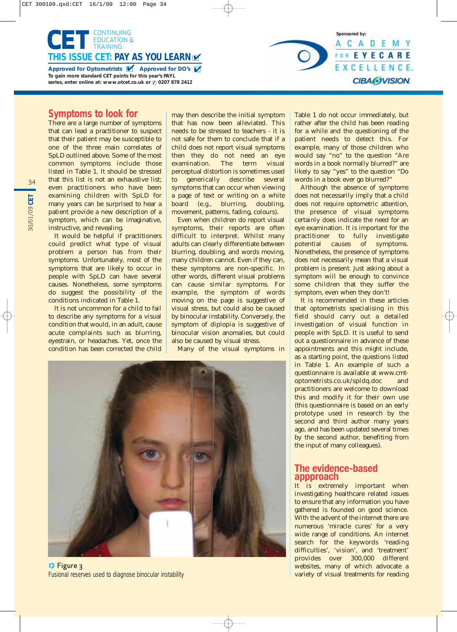

# A C A D E M Y FOR EYECARE EXCELLENCE. **CIBAOVISION.**

**Sponsored by:**

# **Symptoms to look for**

There are a large number of symptoms that can lead a practitioner to suspect that their patient may be susceptible to one of the three main correlates of SpLD outlined above. Some of the most common symptoms include those listed in Table 1. It should be stressed that this list is not an exhaustive list; even practitioners who have been examining children with SpLD for many years can be surprised to hear a patient provide a new description of a symptom, which can be imaginative, instructive, and revealing.

It would be helpful if practitioners could predict what type of visual problem a person has from their symptoms. Unfortunately, most of the symptoms that are likely to occur in people with SpLD can have several causes. Nonetheless, some symptoms do suggest the possibility of the conditions indicated in Table 1.

It is not uncommon for a child to fail to describe any symptoms for a visual condition that would, in an adult, cause acute complaints such as blurring, eyestrain, or headaches. Yet, once the condition has been corrected the child

may then describe the initial symptom that has now been alleviated. This needs to be stressed to teachers - it is not safe for them to conclude that if a child does not report visual symptoms then they do not need an eye examination. The term visual perceptual distortion is sometimes used to generically describe several symptoms that can occur when viewing a page of text or writing on a white board (e.g., blurring, doubling, movement, patterns, fading, colours).

Even when children do report visual symptoms, their reports are often difficult to interpret. Whilst many adults can clearly differentiate between blurring, doubling, and words moving, many children cannot. Even if they can, these symptoms are non-specific. In other words, different visual problems can cause similar symptoms. For example, the symptom of words moving on the page is suggestive of visual stress, but could also be caused by binocular instability. Conversely, the symptom of diplopia is suggestive of binocular vision anomalies, but could also be caused by visual stress.

Many of the visual symptoms in



 $\Rightarrow$  Figure 3 Fusional reserves used to diagnose binocular instability

Table 1 do not occur immediately, but rather after the child has been reading for a while and the questioning of the patient needs to detect this. For example, many of those children who would say "no" to the question "Are words in a book normally blurred?" are likely to say "yes" to the question "Do words in a book ever go blurred?"

Although the absence of symptoms does not necessarily imply that a child does not require optometric attention, the presence of visual symptoms certainly does indicate the need for an eye examination. It is important for the practitioner to fully investigate potential causes of symptoms. Nonetheless, the presence of symptoms does not necessarily mean that a visual problem is present. Just asking about a symptom will be enough to convince some children that they suffer the symptom, even when they don't!

It is recommended in these articles that optometrists specialising in this field should carry out a detailed investigation of visual function in people with SpLD. It is useful to send out a questionnaire in advance of these appointments and this might include, as a starting point, the questions listed in Table 1. An example of such a questionnaire is available at www.cmtoptometrists.co.uk/spldq.doc and practitioners are welcome to download this and modify it for their own use (this questionnaire is based on an early prototype used in research by the second and third author many years ago, and has been updated several times by the second author, benefiting from the input of many colleagues).

# **The evidence-based appproach**

It is extremely important when investigating healthcare related issues to ensure that any information you have gathered is founded on good science. With the advent of the internet there are numerous 'miracle cures' for a very wide range of conditions. An internet search for the keywords 'reading difficulties', 'vision', and 'treatment' provides over 300,000 different websites, many of which advocate a variety of visual treatments for reading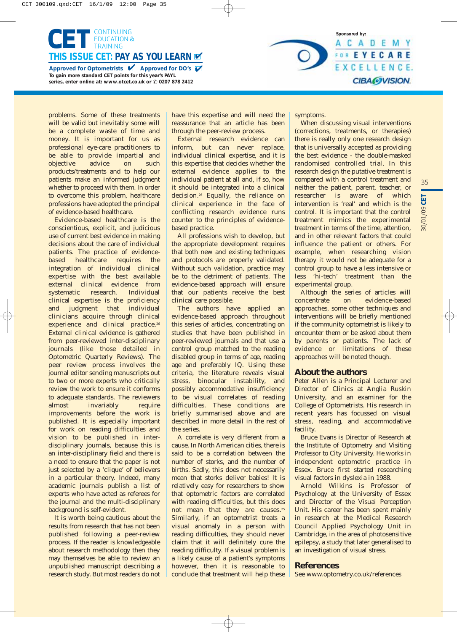of evidence-based healthcare.

background is self-evident.

It is worth being cautious about the results from research that has not been published following a peer-review process. If the reader is knowledgeable about research methodology then they may themselves be able to review an unpublished manuscript describing a research study. But most readers do not

use of current best evidence in making decisions about the care of individual patients. The practice of evidencebased healthcare requires the integration of individual clinical expertise with the best available external clinical evidence from systematic research. Individual clinical expertise is the proficiency and judgment that individual clinicians acquire through clinical experience and clinical practice.<sup>26</sup> External clinical evidence is gathered from peer-reviewed inter-disciplinary journals (like those detailed in Optometric Quarterly Reviews). The peer review process involves the journal editor sending manuscripts out to two or more experts who critically review the work to ensure it conforms to adequate standards. The reviewers almost invariably require improvements before the work is published. It is especially important for work on reading difficulties and vision to be published in interdisciplinary journals, because this is an inter-disciplinary field and there is a need to ensure that the paper is not just selected by a 'clique' of believers in a particular theory. Indeed, many academic journals publish a list of experts who have acted as referees for the journal and the multi-disciplinary



Approved for Optometrists **Approved for DO's To gain more standard CET points for this year's PAYL series, enter online at: www.otcet.co.uk or** ✆ **0207 878 2412**



be able to provide impartial and objective advice on such products/treatments and to help our patients make an informed judgment whether to proceed with them. In order to overcome this problem, healthcare professions have adopted the principal Evidence-based healthcare is the conscientious, explicit, and judicious inform, but can never replace, individual clinical expertise, and it is this expertise that decides whether the external evidence applies to the individual patient at all and, if so, how it should be integrated into a clinical decision.26 Equally, the reliance on clinical experience in the face of conflicting research evidence runs counter to the principles of evidencebased practice.

> All professions wish to develop, but the appropriate development requires that both new and existing techniques and protocols are properly validated. Without such validation, practice may be to the detriment of patients. The evidence-based approach will ensure that our patients receive the best clinical care possible.

> The authors have applied an evidence-based approach throughout this series of articles, concentrating on studies that have been published in peer-reviewed journals and that use a control group matched to the reading disabled group in terms of age, reading age and preferably IQ. Using these criteria, the literature reveals visual stress, binocular instability, and possibly accommodative insufficiency to be visual correlates of reading difficulties. These conditions are briefly summarised above and are described in more detail in the rest of the series.

> A correlate is very different from a cause. In North American cities, there is said to be a correlation between the number of storks, and the number of births. Sadly, this does not necessarily mean that storks deliver babies! It is relatively easy for researchers to show that optometric factors are correlated with reading difficulties, but this does not mean that they are causes.<sup>25</sup> Similarly, if an optometrist treats a visual anomaly in a person with reading difficulties, they should never claim that it will definitely cure the reading difficulty. If a visual problem is a likely cause of a patient's symptoms however, then it is reasonable to conclude that treatment will help these

symptoms.

When discussing visual interventions (corrections, treatments, or therapies) there is really only one research design that is universally accepted as providing the best evidence - the double-masked randomised controlled trial. In this research design the putative treatment is compared with a control treatment and neither the patient, parent, teacher, or researcher is aware of which intervention is 'real' and which is the control. It is important that the control treatment mimics the experimental treatment in terms of the time, attention, and in other relevant factors that could influence the patient or others. For example, when researching vision therapy it would not be adequate for a control group to have a less intensive or less 'hi-tech' treatment than the experimental group.

**Sponsored by:**

ACADEMY FOR EYECARE EXCELLENCE.

**CIBAOVISION.** 

Although the series of articles will concentrate on evidence-based approaches, some other techniques and interventions will be briefly mentioned if the community optometrist is likely to encounter them or be asked about them by parents or patients. The lack of evidence or limitations of these approaches will be noted though.

#### *About the authors*

Peter Allen is a Principal Lecturer and Director of Clinics at Anglia Ruskin University, and an examiner for the College of Optometrists. His research in recent years has focussed on visual stress, reading, and accommodative facility.

Bruce Evans is Director of Research at the Institute of Optometry and Visiting Professor to City University. He works in independent optometric practice in Essex. Bruce first started researching visual factors in dyslexia in 1988.

Arnold Wilkins is Professor of Psychology at the University of Essex and Director of the Visual Perception Unit. His career has been spent mainly in research at the Medical Research Council Applied Psychology Unit in Cambridge, in the area of photosensitive epilepsy, a study that later generalised to an investigation of visual stress.

#### *References*

See www.optometry.co.uk/references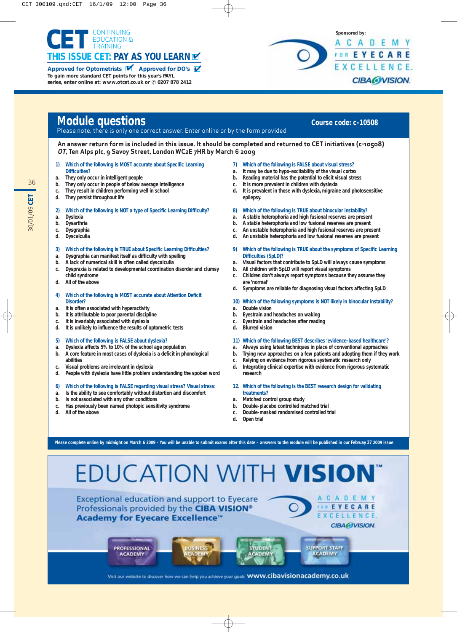



# **Module questions Course code: c-10508**

### Please note, there is only one correct answer. Enter online or by the form provided

#### **An answer return form is included in this issue. It should be completed and returned to CET initiatives (c-10508) OT, Ten Alps plc, 9 Savoy Street, London WC2E 7HR by March 6 2009**

- **1) Which of the following is MOST accurate about Specific Learning Difficulties?**
- **a. They only occur in intelligent people**
- **b. They only occur in people of below average intelligence**
- **c. They result in children performing well in school**
- **d. They persist throughout life**
- **2) Which of the following is NOT a type of Specific Learning Difficulty?**
- **a. Dyslexia**
- **b. Dysarthria**
- **c. Dysgraphia**
- **d. Dyscalculia**

#### **3) Which of the following is TRUE about Specific Learning Difficulties?**

- **a. Dysgraphia can manifest itself as difficulty with spelling**
- **b. A lack of numerical skill is often called dyscalculia**
- **c. Dyspraxia is related to developmental coordination disorder and clumsy child syndrome**
- **d. All of the above**
- **4) Which of the following is MOST accurate about Attention Deficit Disorder?**
- **a. It is often associated with hyperactivity**
- **b. It is attributable to poor parental discipline**
- **c. It is invariably associated with dyslexia**
- **d. It is unlikely to influence the results of optometric tests**

#### **5) Which of the following is FALSE about dyslexia?**

- **a. Dyslexia affects 5% to 10% of the school age population**
- **b. A core feature in most cases of dyslexia is a deficit in phonological abilities**
- **c. Visual problems are irrelevant in dyslexia**
- **d. People with dyslexia have little problem understanding the spoken word**
- **6) Which of the following is FALSE regarding visual stress? Visual stress:**
- **a. Is the ability to see comfortably without distortion and discomfort**
- **b. Is not associated with any other conditions**
- **c. Has previously been named photopic sensitivity syndrome**
- **d. All of the above**

#### **7) Which of the following is FALSE about visual stress?**

- **a. It may be due to hypo-excitability of the visual cortex**
- **b. Reading material has the potential to elicit visual stress**
- **c. It is more prevalent in children with dyslexia**
- **d. It is prevalent in those with dyslexia, migraine and photosensitive epilepsy.**

#### **8) Which of the following is TRUE about binocular instability?**

- **a. A stable heterophoria and high fusional reserves are present**
- **b. A stable heterophoria and low fusional reserves are present**
- **c. An unstable heterophoria and high fusional reserves are present**
- **d. An unstable heterophoria and low fusional reserves are present**
- **9) Which of the following is TRUE about the symptoms of Specific Learning Difficulties (SpLD)?**
- **a. Visual factors that contribute to SpLD will always cause symptoms**
- **b. All children with SpLD will report visual symptoms**
- **c. Children don't always report symptoms because they assume they are 'normal'**
- **d. Symptoms are reliable for diagnosing visual factors affecting SpLD**
- **10) Which of the following symptoms is NOT likely in binocular instability?**
- **a. Double vision**
- **b. Eyestrain and headaches on waking**
- **c. Eyestrain and headaches after reading**
- **d. Blurred vision**
- **11) Which of the following BEST describes 'evidence-based healthcare'?**
- **a. Always using latest techniques in place of conventional approaches**
- **b. Trying new approaches on a few patients and adopting them if they work**
- **c. Relying on evidence from rigorous systematic research only d. Integrating clinical expertise with evidence from rigorous systematic research**
- **12. Which of the following is the BEST research design for validating treatments?**
- **a. Matched control group study**
- **b. Double-placebo controlled matched trial**
- **c. Double-masked randomised controlled trial**
- **d. Open trial**

**Please complete online by midnight on March 6 2009 - You will be unable to submit exams after this date – answers to the module will be published in our Februay 27 2009 issue**



# 30/01/09 CET 30/01/09 **CET**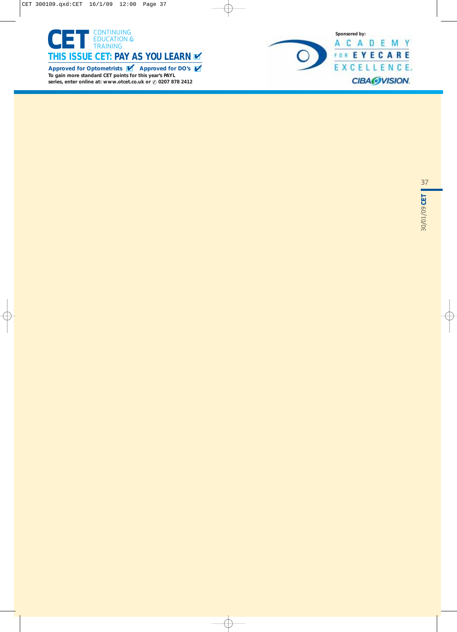

**Sponsored by:** ACADEMY FOR EYECARE EXCELLENCE. **CIBAOVISION.**